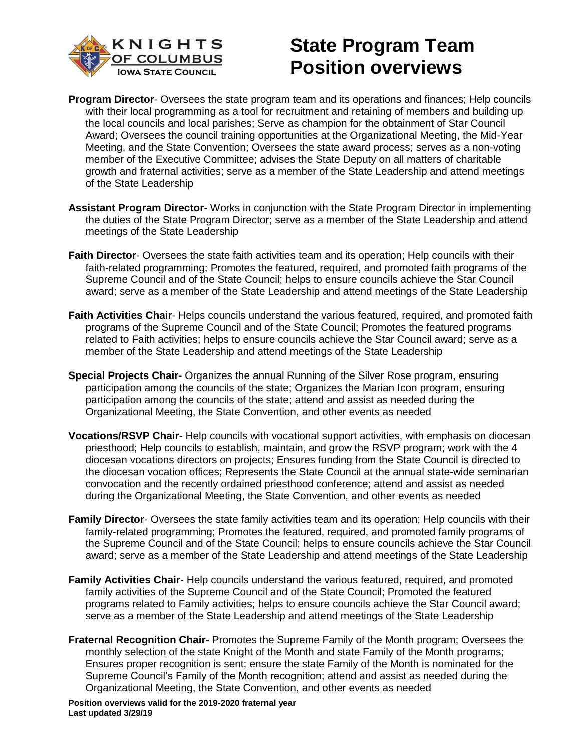

- **Program Director** Oversees the state program team and its operations and finances; Help councils with their local programming as a tool for recruitment and retaining of members and building up the local councils and local parishes; Serve as champion for the obtainment of Star Council Award; Oversees the council training opportunities at the Organizational Meeting, the Mid-Year Meeting, and the State Convention; Oversees the state award process; serves as a non-voting member of the Executive Committee; advises the State Deputy on all matters of charitable growth and fraternal activities; serve as a member of the State Leadership and attend meetings of the State Leadership
- **Assistant Program Director** Works in conjunction with the State Program Director in implementing the duties of the State Program Director; serve as a member of the State Leadership and attend meetings of the State Leadership
- **Faith Director** Oversees the state faith activities team and its operation; Help councils with their faith-related programming; Promotes the featured, required, and promoted faith programs of the Supreme Council and of the State Council; helps to ensure councils achieve the Star Council award; serve as a member of the State Leadership and attend meetings of the State Leadership
- **Faith Activities Chair** Helps councils understand the various featured, required, and promoted faith programs of the Supreme Council and of the State Council; Promotes the featured programs related to Faith activities; helps to ensure councils achieve the Star Council award; serve as a member of the State Leadership and attend meetings of the State Leadership
- **Special Projects Chair** Organizes the annual Running of the Silver Rose program, ensuring participation among the councils of the state; Organizes the Marian Icon program, ensuring participation among the councils of the state; attend and assist as needed during the Organizational Meeting, the State Convention, and other events as needed
- **Vocations/RSVP Chair** Help councils with vocational support activities, with emphasis on diocesan priesthood; Help councils to establish, maintain, and grow the RSVP program; work with the 4 diocesan vocations directors on projects; Ensures funding from the State Council is directed to the diocesan vocation offices; Represents the State Council at the annual state-wide seminarian convocation and the recently ordained priesthood conference; attend and assist as needed during the Organizational Meeting, the State Convention, and other events as needed
- **Family Director** Oversees the state family activities team and its operation; Help councils with their family-related programming; Promotes the featured, required, and promoted family programs of the Supreme Council and of the State Council; helps to ensure councils achieve the Star Council award; serve as a member of the State Leadership and attend meetings of the State Leadership
- Family Activities Chair- Help councils understand the various featured, required, and promoted family activities of the Supreme Council and of the State Council; Promoted the featured programs related to Family activities; helps to ensure councils achieve the Star Council award; serve as a member of the State Leadership and attend meetings of the State Leadership
- **Fraternal Recognition Chair-** Promotes the Supreme Family of the Month program; Oversees the monthly selection of the state Knight of the Month and state Family of the Month programs; Ensures proper recognition is sent; ensure the state Family of the Month is nominated for the Supreme Council's Family of the Month recognition; attend and assist as needed during the Organizational Meeting, the State Convention, and other events as needed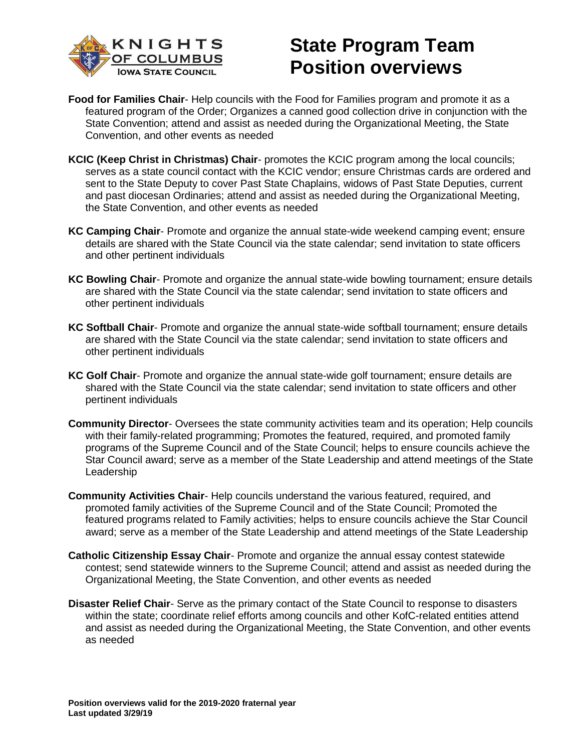

- **Food for Families Chair** Help councils with the Food for Families program and promote it as a featured program of the Order; Organizes a canned good collection drive in conjunction with the State Convention; attend and assist as needed during the Organizational Meeting, the State Convention, and other events as needed
- **KCIC (Keep Christ in Christmas) Chair** promotes the KCIC program among the local councils; serves as a state council contact with the KCIC vendor; ensure Christmas cards are ordered and sent to the State Deputy to cover Past State Chaplains, widows of Past State Deputies, current and past diocesan Ordinaries; attend and assist as needed during the Organizational Meeting, the State Convention, and other events as needed
- **KC Camping Chair** Promote and organize the annual state-wide weekend camping event; ensure details are shared with the State Council via the state calendar; send invitation to state officers and other pertinent individuals
- **KC Bowling Chair** Promote and organize the annual state-wide bowling tournament; ensure details are shared with the State Council via the state calendar; send invitation to state officers and other pertinent individuals
- **KC Softball Chair** Promote and organize the annual state-wide softball tournament; ensure details are shared with the State Council via the state calendar; send invitation to state officers and other pertinent individuals
- **KC Golf Chair** Promote and organize the annual state-wide golf tournament; ensure details are shared with the State Council via the state calendar; send invitation to state officers and other pertinent individuals
- **Community Director** Oversees the state community activities team and its operation; Help councils with their family-related programming; Promotes the featured, required, and promoted family programs of the Supreme Council and of the State Council; helps to ensure councils achieve the Star Council award; serve as a member of the State Leadership and attend meetings of the State Leadership
- **Community Activities Chair** Help councils understand the various featured, required, and promoted family activities of the Supreme Council and of the State Council; Promoted the featured programs related to Family activities; helps to ensure councils achieve the Star Council award; serve as a member of the State Leadership and attend meetings of the State Leadership
- **Catholic Citizenship Essay Chair** Promote and organize the annual essay contest statewide contest; send statewide winners to the Supreme Council; attend and assist as needed during the Organizational Meeting, the State Convention, and other events as needed
- **Disaster Relief Chair** Serve as the primary contact of the State Council to response to disasters within the state; coordinate relief efforts among councils and other KofC-related entities attend and assist as needed during the Organizational Meeting, the State Convention, and other events as needed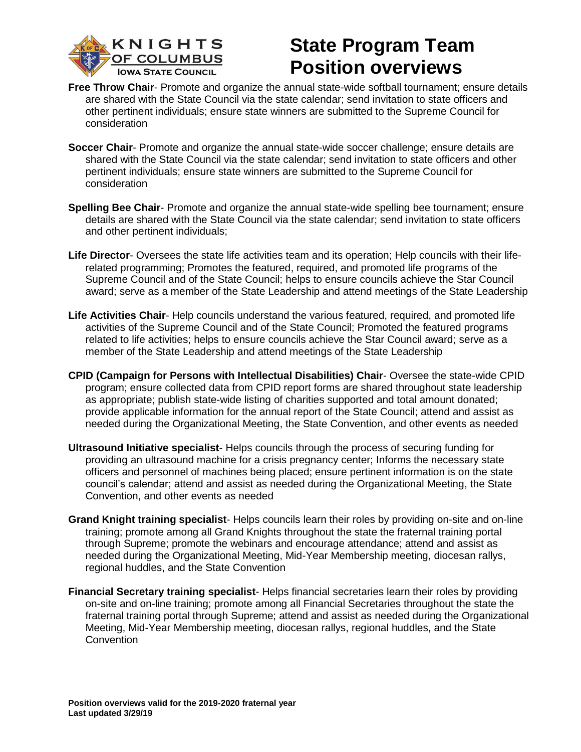

- **Free Throw Chair** Promote and organize the annual state-wide softball tournament; ensure details are shared with the State Council via the state calendar; send invitation to state officers and other pertinent individuals; ensure state winners are submitted to the Supreme Council for consideration
- **Soccer Chair** Promote and organize the annual state-wide soccer challenge; ensure details are shared with the State Council via the state calendar; send invitation to state officers and other pertinent individuals; ensure state winners are submitted to the Supreme Council for consideration
- **Spelling Bee Chair** Promote and organize the annual state-wide spelling bee tournament; ensure details are shared with the State Council via the state calendar; send invitation to state officers and other pertinent individuals;
- **Life Director** Oversees the state life activities team and its operation; Help councils with their liferelated programming; Promotes the featured, required, and promoted life programs of the Supreme Council and of the State Council; helps to ensure councils achieve the Star Council award; serve as a member of the State Leadership and attend meetings of the State Leadership
- **Life Activities Chair** Help councils understand the various featured, required, and promoted life activities of the Supreme Council and of the State Council; Promoted the featured programs related to life activities; helps to ensure councils achieve the Star Council award; serve as a member of the State Leadership and attend meetings of the State Leadership
- **CPID (Campaign for Persons with Intellectual Disabilities) Chair** Oversee the state-wide CPID program; ensure collected data from CPID report forms are shared throughout state leadership as appropriate; publish state-wide listing of charities supported and total amount donated; provide applicable information for the annual report of the State Council; attend and assist as needed during the Organizational Meeting, the State Convention, and other events as needed
- **Ultrasound Initiative specialist** Helps councils through the process of securing funding for providing an ultrasound machine for a crisis pregnancy center; Informs the necessary state officers and personnel of machines being placed; ensure pertinent information is on the state council's calendar; attend and assist as needed during the Organizational Meeting, the State Convention, and other events as needed
- **Grand Knight training specialist** Helps councils learn their roles by providing on-site and on-line training; promote among all Grand Knights throughout the state the fraternal training portal through Supreme; promote the webinars and encourage attendance; attend and assist as needed during the Organizational Meeting, Mid-Year Membership meeting, diocesan rallys, regional huddles, and the State Convention
- **Financial Secretary training specialist** Helps financial secretaries learn their roles by providing on-site and on-line training; promote among all Financial Secretaries throughout the state the fraternal training portal through Supreme; attend and assist as needed during the Organizational Meeting, Mid-Year Membership meeting, diocesan rallys, regional huddles, and the State **Convention**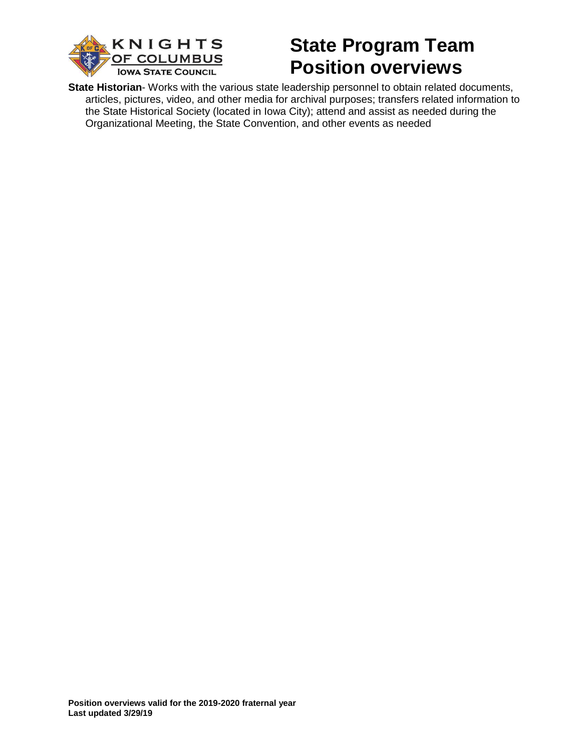

**State Historian**- Works with the various state leadership personnel to obtain related documents, articles, pictures, video, and other media for archival purposes; transfers related information to the State Historical Society (located in Iowa City); attend and assist as needed during the Organizational Meeting, the State Convention, and other events as needed